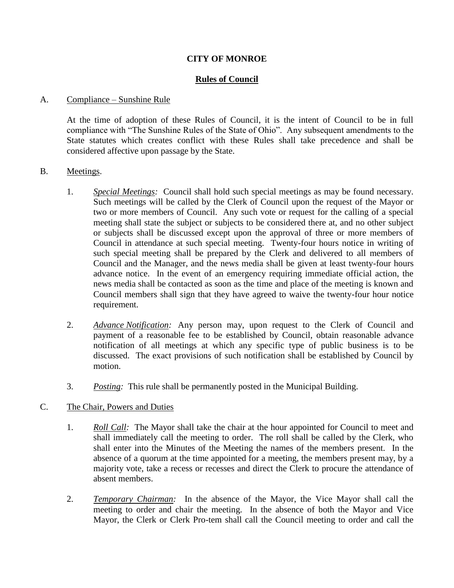### **CITY OF MONROE**

## **Rules of Council**

#### A. Compliance – Sunshine Rule

At the time of adoption of these Rules of Council, it is the intent of Council to be in full compliance with "The Sunshine Rules of the State of Ohio". Any subsequent amendments to the State statutes which creates conflict with these Rules shall take precedence and shall be considered affective upon passage by the State.

#### B. Meetings.

- 1. *Special Meetings:* Council shall hold such special meetings as may be found necessary. Such meetings will be called by the Clerk of Council upon the request of the Mayor or two or more members of Council. Any such vote or request for the calling of a special meeting shall state the subject or subjects to be considered there at, and no other subject or subjects shall be discussed except upon the approval of three or more members of Council in attendance at such special meeting. Twenty-four hours notice in writing of such special meeting shall be prepared by the Clerk and delivered to all members of Council and the Manager, and the news media shall be given at least twenty-four hours advance notice. In the event of an emergency requiring immediate official action, the news media shall be contacted as soon as the time and place of the meeting is known and Council members shall sign that they have agreed to waive the twenty-four hour notice requirement.
- 2. *Advance Notification:* Any person may, upon request to the Clerk of Council and payment of a reasonable fee to be established by Council, obtain reasonable advance notification of all meetings at which any specific type of public business is to be discussed. The exact provisions of such notification shall be established by Council by motion.
- 3. *Posting:* This rule shall be permanently posted in the Municipal Building.

### C. The Chair, Powers and Duties

- 1. *Roll Call:* The Mayor shall take the chair at the hour appointed for Council to meet and shall immediately call the meeting to order. The roll shall be called by the Clerk, who shall enter into the Minutes of the Meeting the names of the members present. In the absence of a quorum at the time appointed for a meeting, the members present may, by a majority vote, take a recess or recesses and direct the Clerk to procure the attendance of absent members.
- 2. *Temporary Chairman:* In the absence of the Mayor, the Vice Mayor shall call the meeting to order and chair the meeting. In the absence of both the Mayor and Vice Mayor, the Clerk or Clerk Pro-tem shall call the Council meeting to order and call the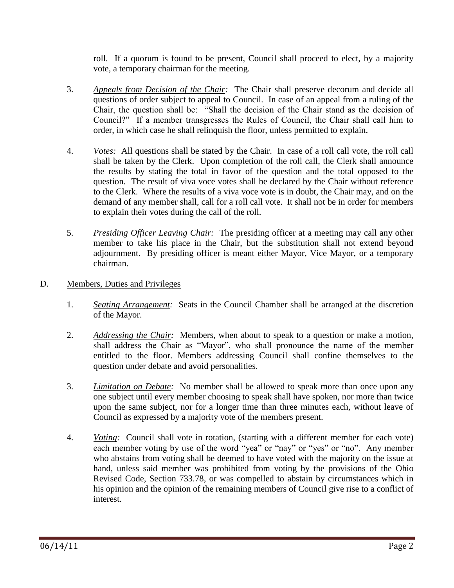roll. If a quorum is found to be present, Council shall proceed to elect, by a majority vote, a temporary chairman for the meeting.

- 3. *Appeals from Decision of the Chair:* The Chair shall preserve decorum and decide all questions of order subject to appeal to Council. In case of an appeal from a ruling of the Chair, the question shall be: "Shall the decision of the Chair stand as the decision of Council?" If a member transgresses the Rules of Council, the Chair shall call him to order, in which case he shall relinquish the floor, unless permitted to explain.
- 4. *Votes:* All questions shall be stated by the Chair. In case of a roll call vote, the roll call shall be taken by the Clerk. Upon completion of the roll call, the Clerk shall announce the results by stating the total in favor of the question and the total opposed to the question. The result of viva voce votes shall be declared by the Chair without reference to the Clerk. Where the results of a viva voce vote is in doubt, the Chair may, and on the demand of any member shall, call for a roll call vote. It shall not be in order for members to explain their votes during the call of the roll.
- 5. *Presiding Officer Leaving Chair:* The presiding officer at a meeting may call any other member to take his place in the Chair, but the substitution shall not extend beyond adjournment. By presiding officer is meant either Mayor, Vice Mayor, or a temporary chairman.

# D. Members, Duties and Privileges

- 1. *Seating Arrangement:* Seats in the Council Chamber shall be arranged at the discretion of the Mayor.
- 2. *Addressing the Chair:* Members, when about to speak to a question or make a motion, shall address the Chair as "Mayor", who shall pronounce the name of the member entitled to the floor. Members addressing Council shall confine themselves to the question under debate and avoid personalities.
- 3. *Limitation on Debate:* No member shall be allowed to speak more than once upon any one subject until every member choosing to speak shall have spoken, nor more than twice upon the same subject, nor for a longer time than three minutes each, without leave of Council as expressed by a majority vote of the members present.
- 4. *Voting:* Council shall vote in rotation, (starting with a different member for each vote) each member voting by use of the word "yea" or "nay" or "yes" or "no". Any member who abstains from voting shall be deemed to have voted with the majority on the issue at hand, unless said member was prohibited from voting by the provisions of the Ohio Revised Code, Section 733.78, or was compelled to abstain by circumstances which in his opinion and the opinion of the remaining members of Council give rise to a conflict of interest.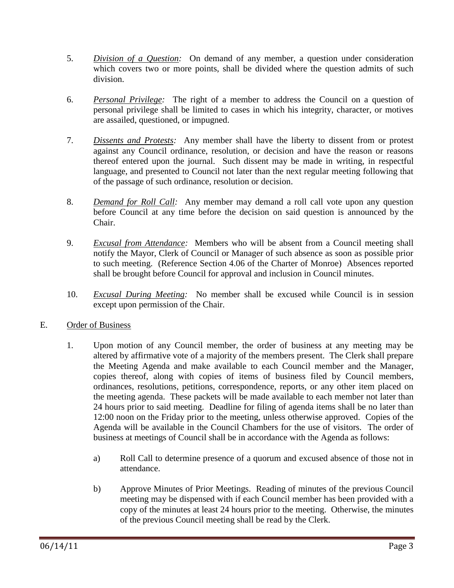- 5. *Division of a Question:* On demand of any member, a question under consideration which covers two or more points, shall be divided where the question admits of such division.
- 6. *Personal Privilege:* The right of a member to address the Council on a question of personal privilege shall be limited to cases in which his integrity, character, or motives are assailed, questioned, or impugned.
- 7. *Dissents and Protests:* Any member shall have the liberty to dissent from or protest against any Council ordinance, resolution, or decision and have the reason or reasons thereof entered upon the journal. Such dissent may be made in writing, in respectful language, and presented to Council not later than the next regular meeting following that of the passage of such ordinance, resolution or decision.
- 8. *Demand for Roll Call:* Any member may demand a roll call vote upon any question before Council at any time before the decision on said question is announced by the Chair.
- 9. *Excusal from Attendance:* Members who will be absent from a Council meeting shall notify the Mayor, Clerk of Council or Manager of such absence as soon as possible prior to such meeting. (Reference Section 4.06 of the Charter of Monroe) Absences reported shall be brought before Council for approval and inclusion in Council minutes.
- 10. *Excusal During Meeting:* No member shall be excused while Council is in session except upon permission of the Chair.
- E. Order of Business
	- 1. Upon motion of any Council member, the order of business at any meeting may be altered by affirmative vote of a majority of the members present. The Clerk shall prepare the Meeting Agenda and make available to each Council member and the Manager, copies thereof, along with copies of items of business filed by Council members, ordinances, resolutions, petitions, correspondence, reports, or any other item placed on the meeting agenda. These packets will be made available to each member not later than 24 hours prior to said meeting. Deadline for filing of agenda items shall be no later than 12:00 noon on the Friday prior to the meeting, unless otherwise approved. Copies of the Agenda will be available in the Council Chambers for the use of visitors. The order of business at meetings of Council shall be in accordance with the Agenda as follows:
		- a) Roll Call to determine presence of a quorum and excused absence of those not in attendance.
		- b) Approve Minutes of Prior Meetings. Reading of minutes of the previous Council meeting may be dispensed with if each Council member has been provided with a copy of the minutes at least 24 hours prior to the meeting. Otherwise, the minutes of the previous Council meeting shall be read by the Clerk.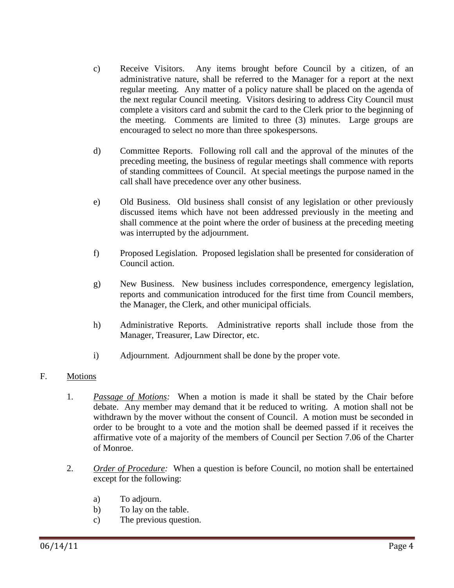- c) Receive Visitors. Any items brought before Council by a citizen, of an administrative nature, shall be referred to the Manager for a report at the next regular meeting. Any matter of a policy nature shall be placed on the agenda of the next regular Council meeting. Visitors desiring to address City Council must complete a visitors card and submit the card to the Clerk prior to the beginning of the meeting. Comments are limited to three (3) minutes. Large groups are encouraged to select no more than three spokespersons.
- d) Committee Reports. Following roll call and the approval of the minutes of the preceding meeting, the business of regular meetings shall commence with reports of standing committees of Council. At special meetings the purpose named in the call shall have precedence over any other business.
- e) Old Business. Old business shall consist of any legislation or other previously discussed items which have not been addressed previously in the meeting and shall commence at the point where the order of business at the preceding meeting was interrupted by the adjournment.
- f) Proposed Legislation. Proposed legislation shall be presented for consideration of Council action.
- g) New Business. New business includes correspondence, emergency legislation, reports and communication introduced for the first time from Council members, the Manager, the Clerk, and other municipal officials.
- h) Administrative Reports. Administrative reports shall include those from the Manager, Treasurer, Law Director, etc.
- i) Adjournment. Adjournment shall be done by the proper vote.

## F. Motions

- 1. *Passage of Motions:* When a motion is made it shall be stated by the Chair before debate. Any member may demand that it be reduced to writing. A motion shall not be withdrawn by the mover without the consent of Council. A motion must be seconded in order to be brought to a vote and the motion shall be deemed passed if it receives the affirmative vote of a majority of the members of Council per Section 7.06 of the Charter of Monroe.
- 2. *Order of Procedure:* When a question is before Council, no motion shall be entertained except for the following:
	- a) To adjourn.
	- b) To lay on the table.
	- c) The previous question.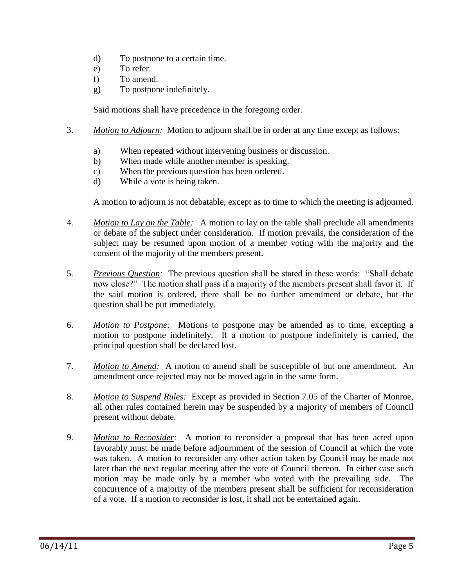- d) To postpone to a certain time.
- e) To refer.
- f) To amend.
- g) To postpone indefinitely.

Said motions shall have precedence in the foregoing order.

- 3. *Motion to Adjourn:* Motion to adjourn shall be in order at any time except as follows:
	- a) When repeated without intervening business or discussion.
	- b) When made while another member is speaking.
	- c) When the previous question has been ordered.
	- d) While a vote is being taken.

A motion to adjourn is not debatable, except as to time to which the meeting is adjourned.

- 4. *Motion to Lay on the Table:* A motion to lay on the table shall preclude all amendments or debate of the subject under consideration. If motion prevails, the consideration of the subject may be resumed upon motion of a member voting with the majority and the consent of the majority of the members present.
- 5. *Previous Question:* The previous question shall be stated in these words: "Shall debate now close?" The motion shall pass if a majority of the members present shall favor it. If the said motion is ordered, there shall be no further amendment or debate, but the question shall be put immediately.
- 6. *Motion to Postpone:* Motions to postpone may be amended as to time, excepting a motion to postpone indefinitely. If a motion to postpone indefinitely is carried, the principal question shall be declared lost.
- 7. *Motion to Amend:* A motion to amend shall be susceptible of but one amendment. An amendment once rejected may not be moved again in the same form.
- 8. *Motion to Suspend Rules:* Except as provided in Section 7.05 of the Charter of Monroe, all other rules contained herein may be suspended by a majority of members of Council present without debate.
- 9. *Motion to Reconsider:* A motion to reconsider a proposal that has been acted upon favorably must be made before adjournment of the session of Council at which the vote was taken. A motion to reconsider any other action taken by Council may be made not later than the next regular meeting after the vote of Council thereon. In either case such motion may be made only by a member who voted with the prevailing side. The concurrence of a majority of the members present shall be sufficient for reconsideration of a vote. If a motion to reconsider is lost, it shall not be entertained again.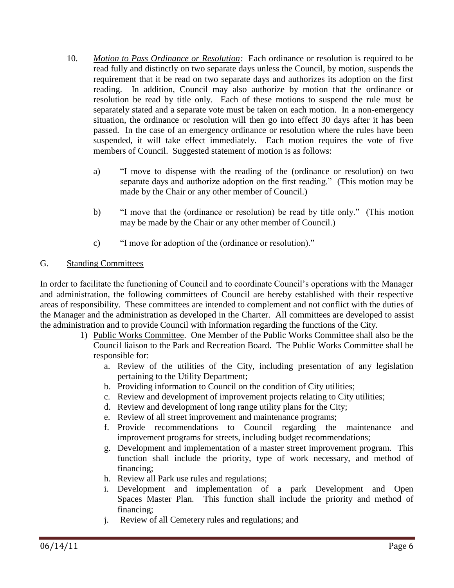- 10. *Motion to Pass Ordinance or Resolution:* Each ordinance or resolution is required to be read fully and distinctly on two separate days unless the Council, by motion, suspends the requirement that it be read on two separate days and authorizes its adoption on the first reading. In addition, Council may also authorize by motion that the ordinance or resolution be read by title only. Each of these motions to suspend the rule must be separately stated and a separate vote must be taken on each motion. In a non-emergency situation, the ordinance or resolution will then go into effect 30 days after it has been passed. In the case of an emergency ordinance or resolution where the rules have been suspended, it will take effect immediately. Each motion requires the vote of five members of Council. Suggested statement of motion is as follows:
	- a) "I move to dispense with the reading of the (ordinance or resolution) on two separate days and authorize adoption on the first reading." (This motion may be made by the Chair or any other member of Council.)
	- b) "I move that the (ordinance or resolution) be read by title only." (This motion may be made by the Chair or any other member of Council.)
	- c) "I move for adoption of the (ordinance or resolution)."

# G. Standing Committees

In order to facilitate the functioning of Council and to coordinate Council's operations with the Manager and administration, the following committees of Council are hereby established with their respective areas of responsibility. These committees are intended to complement and not conflict with the duties of the Manager and the administration as developed in the Charter. All committees are developed to assist the administration and to provide Council with information regarding the functions of the City.

- 1) Public Works Committee. One Member of the Public Works Committee shall also be the Council liaison to the Park and Recreation Board. The Public Works Committee shall be responsible for:
	- a. Review of the utilities of the City, including presentation of any legislation pertaining to the Utility Department;
	- b. Providing information to Council on the condition of City utilities;
	- c. Review and development of improvement projects relating to City utilities;
	- d. Review and development of long range utility plans for the City;
	- e. Review of all street improvement and maintenance programs;
	- f. Provide recommendations to Council regarding the maintenance and improvement programs for streets, including budget recommendations;
	- g. Development and implementation of a master street improvement program. This function shall include the priority, type of work necessary, and method of financing;
	- h. Review all Park use rules and regulations;
	- i. Development and implementation of a park Development and Open Spaces Master Plan. This function shall include the priority and method of financing;
	- j. Review of all Cemetery rules and regulations; and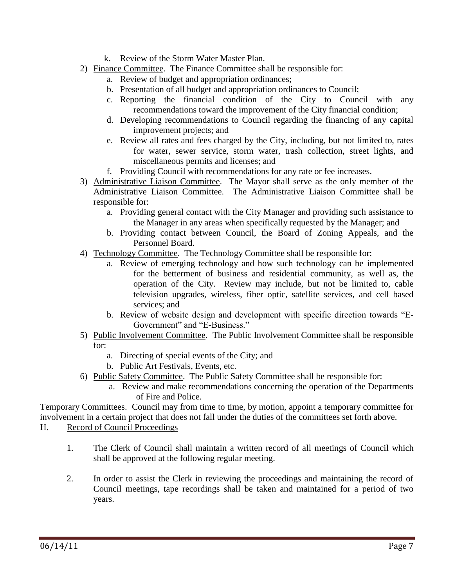- k. Review of the Storm Water Master Plan.
- 2) Finance Committee. The Finance Committee shall be responsible for:
	- a. Review of budget and appropriation ordinances;
	- b. Presentation of all budget and appropriation ordinances to Council;
	- c. Reporting the financial condition of the City to Council with any recommendations toward the improvement of the City financial condition;
	- d. Developing recommendations to Council regarding the financing of any capital improvement projects; and
	- e. Review all rates and fees charged by the City, including, but not limited to, rates for water, sewer service, storm water, trash collection, street lights, and miscellaneous permits and licenses; and
	- f. Providing Council with recommendations for any rate or fee increases.
- 3) Administrative Liaison Committee. The Mayor shall serve as the only member of the Administrative Liaison Committee. The Administrative Liaison Committee shall be responsible for:
	- a. Providing general contact with the City Manager and providing such assistance to the Manager in any areas when specifically requested by the Manager; and
	- b. Providing contact between Council, the Board of Zoning Appeals, and the Personnel Board.
- 4) Technology Committee. The Technology Committee shall be responsible for:
	- a. Review of emerging technology and how such technology can be implemented for the betterment of business and residential community, as well as, the operation of the City. Review may include, but not be limited to, cable television upgrades, wireless, fiber optic, satellite services, and cell based services; and
	- b. Review of website design and development with specific direction towards "E-Government" and "E-Business."
- 5) Public Involvement Committee. The Public Involvement Committee shall be responsible for:
	- a. Directing of special events of the City; and
	- b. Public Art Festivals, Events, etc.
- 6) Public Safety Committee. The Public Safety Committee shall be responsible for:
	- a. Review and make recommendations concerning the operation of the Departments of Fire and Police.

Temporary Committees. Council may from time to time, by motion, appoint a temporary committee for involvement in a certain project that does not fall under the duties of the committees set forth above.

- H. Record of Council Proceedings
	- 1. The Clerk of Council shall maintain a written record of all meetings of Council which shall be approved at the following regular meeting.
	- 2. In order to assist the Clerk in reviewing the proceedings and maintaining the record of Council meetings, tape recordings shall be taken and maintained for a period of two years.